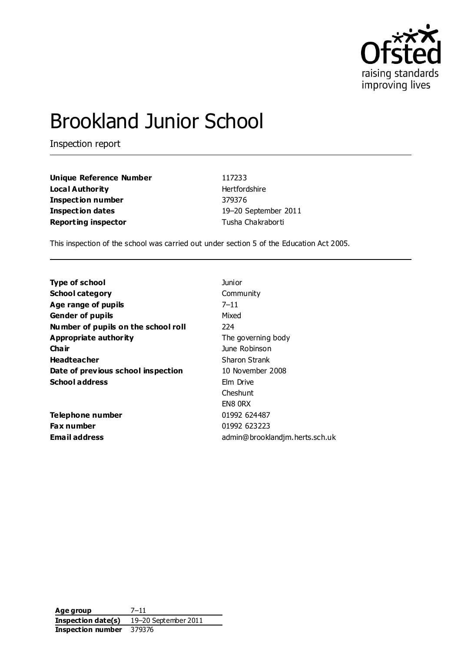

# Brookland Junior School

Inspection report

**Unique Reference Number** 117233 **Local Authority Hertfordshire Inspection number** 379376 **Inspection dates** 19–20 September 2011 **Reporting inspector** Tusha Chakraborti

This inspection of the school was carried out under section 5 of the Education Act 2005.

| <b>Type of school</b>               | Junior                         |
|-------------------------------------|--------------------------------|
| <b>School category</b>              | Community                      |
| Age range of pupils                 | $7 - 11$                       |
| <b>Gender of pupils</b>             | Mixed                          |
| Number of pupils on the school roll | 224                            |
| <b>Appropriate authority</b>        | The governing body             |
| Cha ir                              | June Robinson                  |
| <b>Headteacher</b>                  | Sharon Strank                  |
| Date of previous school inspection  | 10 November 2008               |
| <b>School address</b>               | Elm Drive                      |
|                                     | Cheshunt                       |
|                                     | EN8 ORX                        |
| Telephone number                    | 01992 624487                   |
| <b>Fax number</b>                   | 01992 623223                   |
| Email address                       | admin@brooklandjm.herts.sch.uk |

**Age group** 7–11 **Inspection date(s)** 19–20 September 2011 **Inspection number** 379376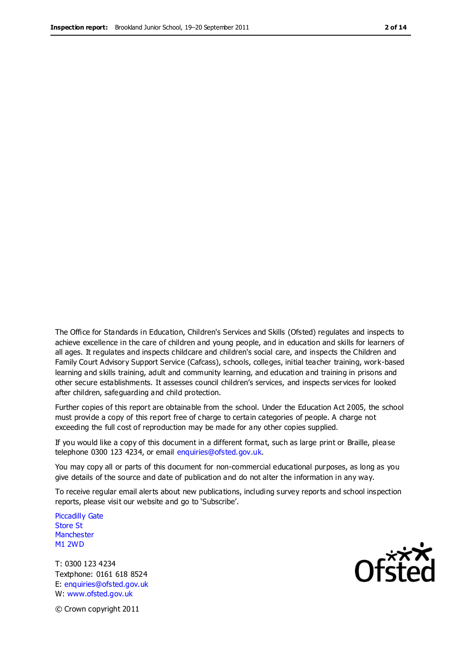The Office for Standards in Education, Children's Services and Skills (Ofsted) regulates and inspects to achieve excellence in the care of children and young people, and in education and skills for learners of all ages. It regulates and inspects childcare and children's social care, and inspects the Children and Family Court Advisory Support Service (Cafcass), schools, colleges, initial teacher training, work-based learning and skills training, adult and community learning, and education and training in prisons and other secure establishments. It assesses council children's services, and inspects services for looked after children, safeguarding and child protection.

Further copies of this report are obtainable from the school. Under the Education Act 2005, the school must provide a copy of this report free of charge to certain categories of people. A charge not exceeding the full cost of reproduction may be made for any other copies supplied.

If you would like a copy of this document in a different format, such as large print or Braille, please telephone 0300 123 4234, or email enquiries@ofsted.gov.uk.

You may copy all or parts of this document for non-commercial educational purposes, as long as you give details of the source and date of publication and do not alter the information in any way.

To receive regular email alerts about new publications, including survey reports and school inspection reports, please visit our website and go to 'Subscribe'.

Piccadilly Gate Store St **Manchester** M1 2WD

T: 0300 123 4234 Textphone: 0161 618 8524 E: enquiries@ofsted.gov.uk W: www.ofsted.gov.uk

**Ofsted** 

© Crown copyright 2011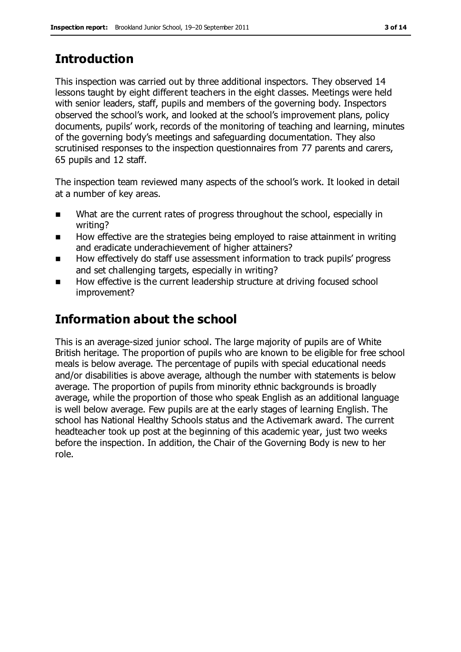## **Introduction**

This inspection was carried out by three additional inspectors. They observed 14 lessons taught by eight different teachers in the eight classes. Meetings were held with senior leaders, staff, pupils and members of the governing body. Inspectors observed the school's work, and looked at the school's improvement plans, policy documents, pupils' work, records of the monitoring of teaching and learning, minutes of the governing body's meetings and safeguarding documentation. They also scrutinised responses to the inspection questionnaires from 77 parents and carers, 65 pupils and 12 staff.

The inspection team reviewed many aspects of the school's work. It looked in detail at a number of key areas.

- What are the current rates of progress throughout the school, especially in writing?
- How effective are the strategies being employed to raise attainment in writing and eradicate underachievement of higher attainers?
- How effectively do staff use assessment information to track pupils' progress and set challenging targets, especially in writing?
- How effective is the current leadership structure at driving focused school improvement?

### **Information about the school**

This is an average-sized junior school. The large majority of pupils are of White British heritage. The proportion of pupils who are known to be eligible for free school meals is below average. The percentage of pupils with special educational needs and/or disabilities is above average, although the number with statements is below average. The proportion of pupils from minority ethnic backgrounds is broadly average, while the proportion of those who speak English as an additional language is well below average. Few pupils are at the early stages of learning English. The school has National Healthy Schools status and the Activemark award. The current headteacher took up post at the beginning of this academic year, just two weeks before the inspection. In addition, the Chair of the Governing Body is new to her role.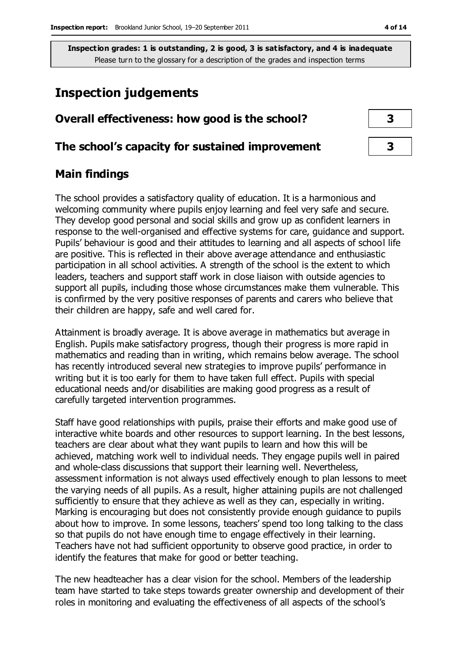### **Inspection judgements**

#### **Overall effectiveness: how good is the school? 3**

#### **The school's capacity for sustained improvement 3**

#### **Main findings**

The school provides a satisfactory quality of education. It is a harmonious and welcoming community where pupils enjoy learning and feel very safe and secure. They develop good personal and social skills and grow up as confident learners in response to the well-organised and effective systems for care, guidance and support. Pupils' behaviour is good and their attitudes to learning and all aspects of school life are positive. This is reflected in their above average attendance and enthusiastic participation in all school activities. A strength of the school is the extent to which leaders, teachers and support staff work in close liaison with outside agencies to support all pupils, including those whose circumstances make them vulnerable. This is confirmed by the very positive responses of parents and carers who believe that their children are happy, safe and well cared for.

Attainment is broadly average. It is above average in mathematics but average in English. Pupils make satisfactory progress, though their progress is more rapid in mathematics and reading than in writing, which remains below average. The school has recently introduced several new strategies to improve pupils' performance in writing but it is too early for them to have taken full effect. Pupils with special educational needs and/or disabilities are making good progress as a result of carefully targeted intervention programmes.

Staff have good relationships with pupils, praise their efforts and make good use of interactive white boards and other resources to support learning. In the best lessons, teachers are clear about what they want pupils to learn and how this will be achieved, matching work well to individual needs. They engage pupils well in paired and whole-class discussions that support their learning well. Nevertheless, assessment information is not always used effectively enough to plan lessons to meet the varying needs of all pupils. As a result, higher attaining pupils are not challenged sufficiently to ensure that they achieve as well as they can, especially in writing. Marking is encouraging but does not consistently provide enough guidance to pupils about how to improve. In some lessons, teachers' spend too long talking to the class so that pupils do not have enough time to engage effectively in their learning. Teachers have not had sufficient opportunity to observe good practice, in order to identify the features that make for good or better teaching.

The new headteacher has a clear vision for the school. Members of the leadership team have started to take steps towards greater ownership and development of their roles in monitoring and evaluating the effectiveness of all aspects of the school's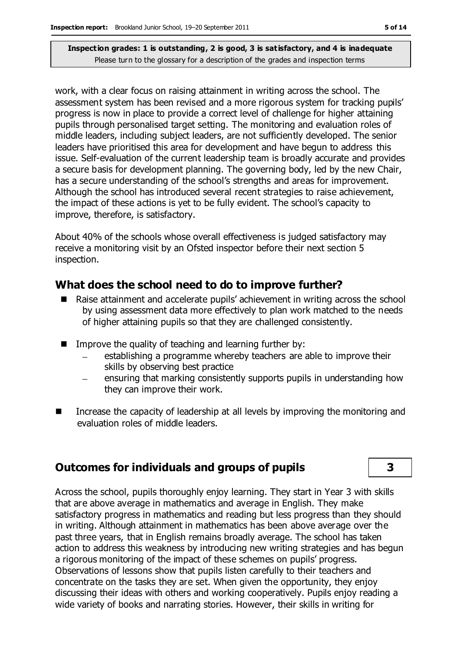work, with a clear focus on raising attainment in writing across the school. The assessment system has been revised and a more rigorous system for tracking pupils' progress is now in place to provide a correct level of challenge for higher attaining pupils through personalised target setting. The monitoring and evaluation roles of middle leaders, including subject leaders, are not sufficiently developed. The senior leaders have prioritised this area for development and have begun to address this issue. Self-evaluation of the current leadership team is broadly accurate and provides a secure basis for development planning. The governing body, led by the new Chair, has a secure understanding of the school's strengths and areas for improvement. Although the school has introduced several recent strategies to raise achievement, the impact of these actions is yet to be fully evident. The school's capacity to improve, therefore, is satisfactory.

About 40% of the schools whose overall effectiveness is judged satisfactory may receive a monitoring visit by an Ofsted inspector before their next section 5 inspection.

### **What does the school need to do to improve further?**

- Raise attainment and accelerate pupils' achievement in writing across the school by using assessment data more effectively to plan work matched to the needs of higher attaining pupils so that they are challenged consistently.
- Improve the quality of teaching and learning further by:
	- establishing a programme whereby teachers are able to improve their skills by observing best practice
	- ensuring that marking consistently supports pupils in understanding how they can improve their work.
- Increase the capacity of leadership at all levels by improving the monitoring and evaluation roles of middle leaders.

#### **Outcomes for individuals and groups of pupils 3**

Across the school, pupils thoroughly enjoy learning. They start in Year 3 with skills that are above average in mathematics and average in English. They make satisfactory progress in mathematics and reading but less progress than they should in writing. Although attainment in mathematics has been above average over the past three years, that in English remains broadly average. The school has taken action to address this weakness by introducing new writing strategies and has begun a rigorous monitoring of the impact of these schemes on pupils' progress. Observations of lessons show that pupils listen carefully to their teachers and concentrate on the tasks they are set. When given the opportunity, they enjoy discussing their ideas with others and working cooperatively. Pupils enjoy reading a wide variety of books and narrating stories. However, their skills in writing for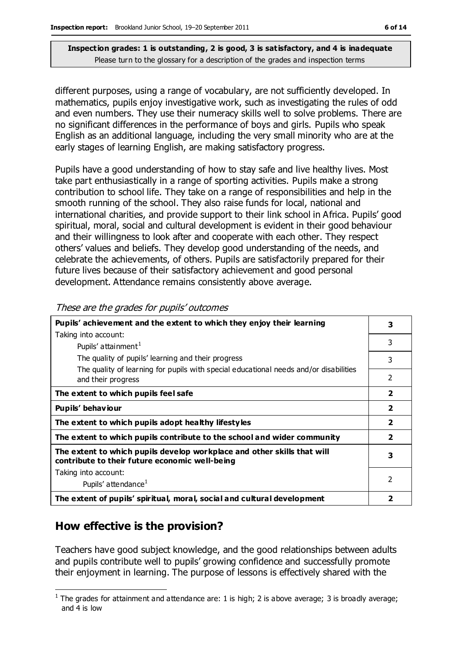different purposes, using a range of vocabulary, are not sufficiently developed. In mathematics, pupils enjoy investigative work, such as investigating the rules of odd and even numbers. They use their numeracy skills well to solve problems. There are no significant differences in the performance of boys and girls. Pupils who speak English as an additional language, including the very small minority who are at the early stages of learning English, are making satisfactory progress.

Pupils have a good understanding of how to stay safe and live healthy lives. Most take part enthusiastically in a range of sporting activities. Pupils make a strong contribution to school life. They take on a range of responsibilities and help in the smooth running of the school. They also raise funds for local, national and international charities, and provide support to their link school in Africa. Pupils' good spiritual, moral, social and cultural development is evident in their good behaviour and their willingness to look after and cooperate with each other. They respect others' values and beliefs. They develop good understanding of the needs, and celebrate the achievements, of others. Pupils are satisfactorily prepared for their future lives because of their satisfactory achievement and good personal development. Attendance remains consistently above average.

| Pupils' achievement and the extent to which they enjoy their learning                                                     |                |  |
|---------------------------------------------------------------------------------------------------------------------------|----------------|--|
| Taking into account:                                                                                                      |                |  |
| Pupils' attainment <sup>1</sup>                                                                                           | 3              |  |
| The quality of pupils' learning and their progress                                                                        | 3              |  |
| The quality of learning for pupils with special educational needs and/or disabilities<br>and their progress               | $\overline{2}$ |  |
| The extent to which pupils feel safe                                                                                      | $\overline{2}$ |  |
| Pupils' behaviour                                                                                                         | $\overline{2}$ |  |
| The extent to which pupils adopt healthy lifestyles                                                                       |                |  |
| The extent to which pupils contribute to the school and wider community                                                   |                |  |
| The extent to which pupils develop workplace and other skills that will<br>contribute to their future economic well-being |                |  |
| Taking into account:                                                                                                      |                |  |
| Pupils' attendance <sup>1</sup>                                                                                           | 2              |  |
| The extent of pupils' spiritual, moral, social and cultural development                                                   |                |  |

These are the grades for pupils' outcomes

### **How effective is the provision?**

Teachers have good subject knowledge, and the good relationships between adults and pupils contribute well to pupils' growing confidence and successfully promote their enjoyment in learning. The purpose of lessons is effectively shared with the

 $\overline{a}$ <sup>1</sup> The grades for attainment and attendance are: 1 is high; 2 is above average; 3 is broadly average; and 4 is low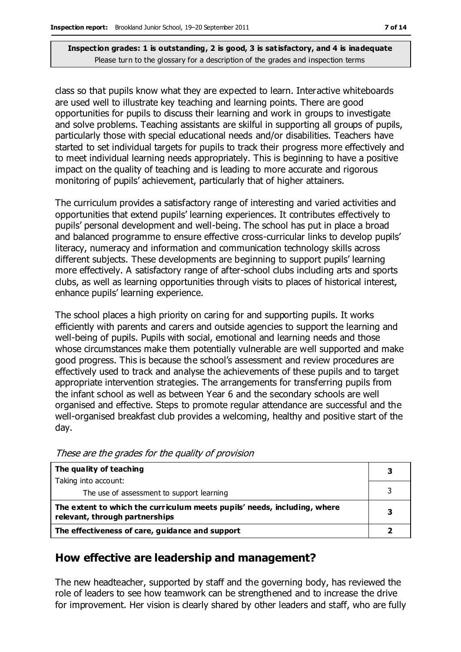class so that pupils know what they are expected to learn. Interactive whiteboards are used well to illustrate key teaching and learning points. There are good opportunities for pupils to discuss their learning and work in groups to investigate and solve problems. Teaching assistants are skilful in supporting all groups of pupils, particularly those with special educational needs and/or disabilities. Teachers have started to set individual targets for pupils to track their progress more effectively and to meet individual learning needs appropriately. This is beginning to have a positive impact on the quality of teaching and is leading to more accurate and rigorous monitoring of pupils' achievement, particularly that of higher attainers.

The curriculum provides a satisfactory range of interesting and varied activities and opportunities that extend pupils' learning experiences. It contributes effectively to pupils' personal development and well-being. The school has put in place a broad and balanced programme to ensure effective cross-curricular links to develop pupils' literacy, numeracy and information and communication technology skills across different subjects. These developments are beginning to support pupils' learning more effectively. A satisfactory range of after-school clubs including arts and sports clubs, as well as learning opportunities through visits to places of historical interest, enhance pupils' learning experience.

The school places a high priority on caring for and supporting pupils. It works efficiently with parents and carers and outside agencies to support the learning and well-being of pupils. Pupils with social, emotional and learning needs and those whose circumstances make them potentially vulnerable are well supported and make good progress. This is because the school's assessment and review procedures are effectively used to track and analyse the achievements of these pupils and to target appropriate intervention strategies. The arrangements for transferring pupils from the infant school as well as between Year 6 and the secondary schools are well organised and effective. Steps to promote regular attendance are successful and the well-organised breakfast club provides a welcoming, healthy and positive start of the day.

| The quality of teaching                                                                                    |  |
|------------------------------------------------------------------------------------------------------------|--|
| Taking into account:                                                                                       |  |
| The use of assessment to support learning                                                                  |  |
| The extent to which the curriculum meets pupils' needs, including, where<br>relevant, through partnerships |  |
| The effectiveness of care, guidance and support                                                            |  |

These are the grades for the quality of provision

#### **How effective are leadership and management?**

The new headteacher, supported by staff and the governing body, has reviewed the role of leaders to see how teamwork can be strengthened and to increase the drive for improvement. Her vision is clearly shared by other leaders and staff, who are fully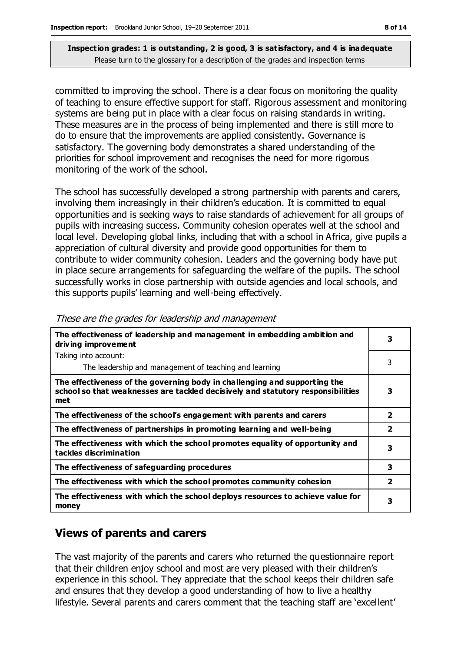committed to improving the school. There is a clear focus on monitoring the quality of teaching to ensure effective support for staff. Rigorous assessment and monitoring systems are being put in place with a clear focus on raising standards in writing. These measures are in the process of being implemented and there is still more to do to ensure that the improvements are applied consistently. Governance is satisfactory. The governing body demonstrates a shared understanding of the priorities for school improvement and recognises the need for more rigorous monitoring of the work of the school.

The school has successfully developed a strong partnership with parents and carers, involving them increasingly in their children's education. It is committed to equal opportunities and is seeking ways to raise standards of achievement for all groups of pupils with increasing success. Community cohesion operates well at the school and local level. Developing global links, including that with a school in Africa, give pupils a appreciation of cultural diversity and provide good opportunities for them to contribute to wider community cohesion. Leaders and the governing body have put in place secure arrangements for safeguarding the welfare of the pupils. The school successfully works in close partnership with outside agencies and local schools, and this supports pupils' learning and well-being effectively.

| The effectiveness of leadership and management in embedding ambition and<br>driving improvement                                                                     |                         |
|---------------------------------------------------------------------------------------------------------------------------------------------------------------------|-------------------------|
| Taking into account:                                                                                                                                                |                         |
| The leadership and management of teaching and learning                                                                                                              | 3                       |
| The effectiveness of the governing body in challenging and supporting the<br>school so that weaknesses are tackled decisively and statutory responsibilities<br>met | з                       |
| The effectiveness of the school's engagement with parents and carers                                                                                                | $\overline{2}$          |
| The effectiveness of partnerships in promoting learning and well-being                                                                                              | $\overline{\mathbf{2}}$ |
| The effectiveness with which the school promotes equality of opportunity and<br>tackles discrimination                                                              | 3                       |
| The effectiveness of safeguarding procedures                                                                                                                        | 3                       |
| The effectiveness with which the school promotes community cohesion                                                                                                 | $\overline{2}$          |
| The effectiveness with which the school deploys resources to achieve value for<br>money                                                                             | 3                       |

These are the grades for leadership and management

### **Views of parents and carers**

The vast majority of the parents and carers who returned the questionnaire report that their children enjoy school and most are very pleased with their children's experience in this school. They appreciate that the school keeps their children safe and ensures that they develop a good understanding of how to live a healthy lifestyle. Several parents and carers comment that the teaching staff are 'excellent'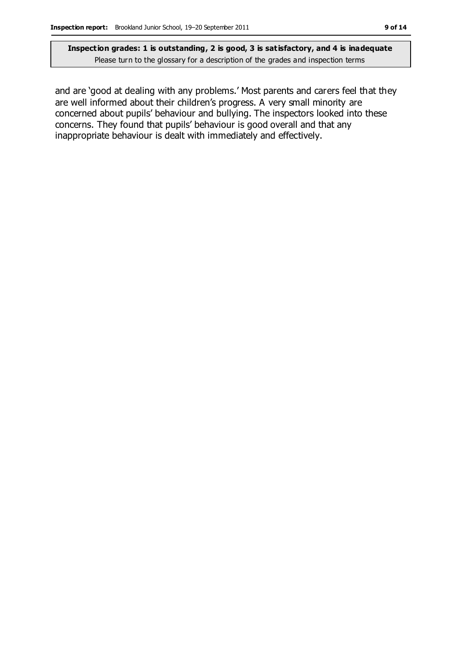and are 'good at dealing with any problems.' Most parents and carers feel that they are well informed about their children's progress. A very small minority are concerned about pupils' behaviour and bullying. The inspectors looked into these concerns. They found that pupils' behaviour is good overall and that any inappropriate behaviour is dealt with immediately and effectively.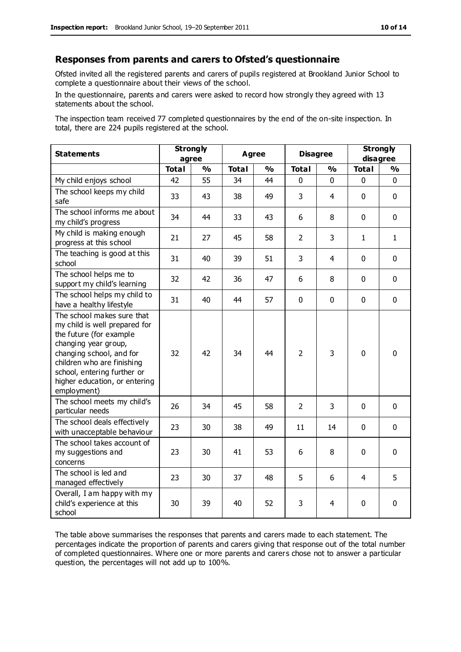#### **Responses from parents and carers to Ofsted's questionnaire**

Ofsted invited all the registered parents and carers of pupils registered at Brookland Junior School to complete a questionnaire about their views of the school.

In the questionnaire, parents and carers were asked to record how strongly they agreed with 13 statements about the school.

The inspection team received 77 completed questionnaires by the end of the on-site inspection. In total, there are 224 pupils registered at the school.

| <b>Statements</b>                                                                                                                                                                                                                                       | <b>Strongly</b><br>agree |               | <b>Agree</b> |               | <b>Disagree</b> |               | <b>Strongly</b><br>disagree |               |
|---------------------------------------------------------------------------------------------------------------------------------------------------------------------------------------------------------------------------------------------------------|--------------------------|---------------|--------------|---------------|-----------------|---------------|-----------------------------|---------------|
|                                                                                                                                                                                                                                                         | <b>Total</b>             | $\frac{1}{2}$ | <b>Total</b> | $\frac{1}{2}$ | <b>Total</b>    | $\frac{1}{2}$ | <b>Total</b>                | $\frac{1}{2}$ |
| My child enjoys school                                                                                                                                                                                                                                  | 42                       | 55            | 34           | 44            | 0               | 0             | $\mathbf 0$                 | $\mathbf 0$   |
| The school keeps my child<br>safe                                                                                                                                                                                                                       | 33                       | 43            | 38           | 49            | 3               | 4             | $\mathbf 0$                 | $\mathbf 0$   |
| The school informs me about<br>my child's progress                                                                                                                                                                                                      | 34                       | 44            | 33           | 43            | 6               | 8             | $\mathbf 0$                 | $\mathbf 0$   |
| My child is making enough<br>progress at this school                                                                                                                                                                                                    | 21                       | 27            | 45           | 58            | $\overline{2}$  | 3             | $\mathbf{1}$                | $\mathbf{1}$  |
| The teaching is good at this<br>school                                                                                                                                                                                                                  | 31                       | 40            | 39           | 51            | 3               | 4             | $\mathbf 0$                 | $\mathbf 0$   |
| The school helps me to<br>support my child's learning                                                                                                                                                                                                   | 32                       | 42            | 36           | 47            | 6               | 8             | $\Omega$                    | $\mathbf 0$   |
| The school helps my child to<br>have a healthy lifestyle                                                                                                                                                                                                | 31                       | 40            | 44           | 57            | $\mathbf 0$     | $\mathbf 0$   | $\mathbf 0$                 | $\mathbf 0$   |
| The school makes sure that<br>my child is well prepared for<br>the future (for example<br>changing year group,<br>changing school, and for<br>children who are finishing<br>school, entering further or<br>higher education, or entering<br>employment) | 32                       | 42            | 34           | 44            | $\overline{2}$  | 3             | $\mathbf{0}$                | $\mathbf 0$   |
| The school meets my child's<br>particular needs                                                                                                                                                                                                         | 26                       | 34            | 45           | 58            | $\overline{2}$  | 3             | $\mathbf 0$                 | $\mathbf 0$   |
| The school deals effectively<br>with unacceptable behaviour                                                                                                                                                                                             | 23                       | 30            | 38           | 49            | 11              | 14            | $\mathbf 0$                 | 0             |
| The school takes account of<br>my suggestions and<br>concerns                                                                                                                                                                                           | 23                       | 30            | 41           | 53            | 6               | 8             | $\mathbf 0$                 | $\mathbf 0$   |
| The school is led and<br>managed effectively                                                                                                                                                                                                            | 23                       | 30            | 37           | 48            | 5               | 6             | $\overline{4}$              | 5             |
| Overall, I am happy with my<br>child's experience at this<br>school                                                                                                                                                                                     | 30                       | 39            | 40           | 52            | 3               | 4             | $\mathbf 0$                 | $\mathbf 0$   |

The table above summarises the responses that parents and carers made to each statement. The percentages indicate the proportion of parents and carers giving that response out of the total number of completed questionnaires. Where one or more parents and carers chose not to answer a particular question, the percentages will not add up to 100%.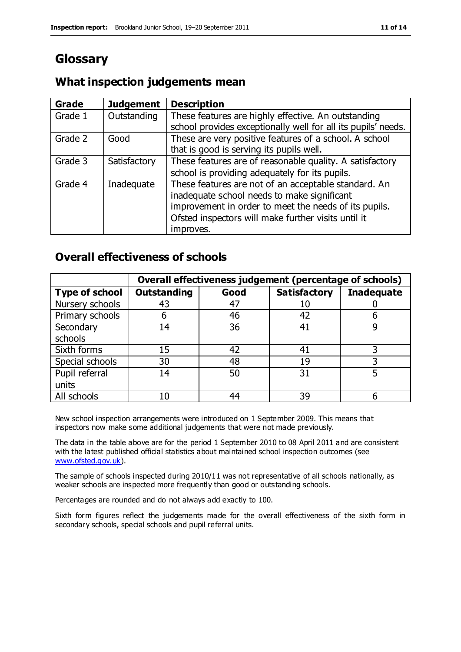### **Glossary**

#### **What inspection judgements mean**

| Grade   | <b>Judgement</b> | <b>Description</b>                                            |
|---------|------------------|---------------------------------------------------------------|
| Grade 1 | Outstanding      | These features are highly effective. An outstanding           |
|         |                  | school provides exceptionally well for all its pupils' needs. |
| Grade 2 | Good             | These are very positive features of a school. A school        |
|         |                  | that is good is serving its pupils well.                      |
| Grade 3 | Satisfactory     | These features are of reasonable quality. A satisfactory      |
|         |                  | school is providing adequately for its pupils.                |
| Grade 4 | Inadequate       | These features are not of an acceptable standard. An          |
|         |                  | inadequate school needs to make significant                   |
|         |                  | improvement in order to meet the needs of its pupils.         |
|         |                  | Ofsted inspectors will make further visits until it           |
|         |                  | improves.                                                     |

#### **Overall effectiveness of schools**

|                       |                    |      | Overall effectiveness judgement (percentage of schools) |                   |
|-----------------------|--------------------|------|---------------------------------------------------------|-------------------|
| <b>Type of school</b> | <b>Outstanding</b> | Good | <b>Satisfactory</b>                                     | <b>Inadequate</b> |
| Nursery schools       | 43                 | 47   | 10                                                      |                   |
| Primary schools       | h                  | 46   | 42                                                      |                   |
| Secondary             | 14                 | 36   | 41                                                      |                   |
| schools               |                    |      |                                                         |                   |
| Sixth forms           | 15                 | 42   | 41                                                      |                   |
| Special schools       | 30                 | 48   | 19                                                      |                   |
| Pupil referral        | 14                 | 50   | 31                                                      |                   |
| units                 |                    |      |                                                         |                   |
| All schools           | 10                 | 44   | 39                                                      |                   |

New school inspection arrangements were introduced on 1 September 2009. This means that inspectors now make some additional judgements that were not made previously.

The data in the table above are for the period 1 September 2010 to 08 April 2011 and are consistent with the latest published official statistics about maintained school inspection outcomes (see [www.ofsted.gov.uk\)](http://www.ofsted.gov.uk/).

The sample of schools inspected during 2010/11 was not representative of all schools nationally, as weaker schools are inspected more frequently than good or outstanding schools.

Percentages are rounded and do not always add exactly to 100.

Sixth form figures reflect the judgements made for the overall effectiveness of the sixth form in secondary schools, special schools and pupil referral units.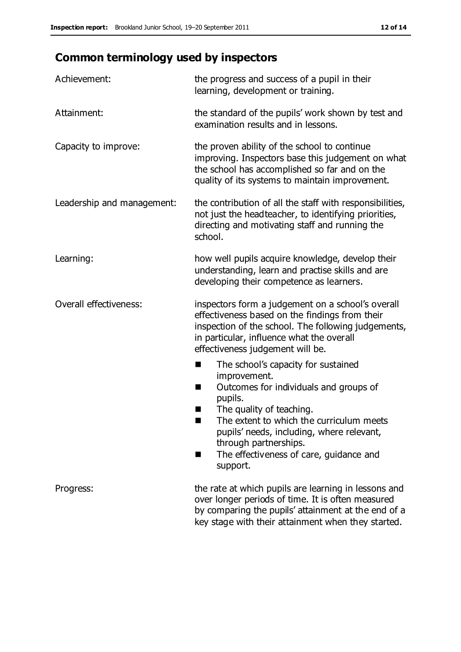## **Common terminology used by inspectors**

| Achievement:               | the progress and success of a pupil in their<br>learning, development or training.                                                                                                                                                                                                                                             |  |  |
|----------------------------|--------------------------------------------------------------------------------------------------------------------------------------------------------------------------------------------------------------------------------------------------------------------------------------------------------------------------------|--|--|
| Attainment:                | the standard of the pupils' work shown by test and<br>examination results and in lessons.                                                                                                                                                                                                                                      |  |  |
| Capacity to improve:       | the proven ability of the school to continue<br>improving. Inspectors base this judgement on what<br>the school has accomplished so far and on the<br>quality of its systems to maintain improvement.                                                                                                                          |  |  |
| Leadership and management: | the contribution of all the staff with responsibilities,<br>not just the headteacher, to identifying priorities,<br>directing and motivating staff and running the<br>school.                                                                                                                                                  |  |  |
| Learning:                  | how well pupils acquire knowledge, develop their<br>understanding, learn and practise skills and are<br>developing their competence as learners.                                                                                                                                                                               |  |  |
| Overall effectiveness:     | inspectors form a judgement on a school's overall<br>effectiveness based on the findings from their<br>inspection of the school. The following judgements,<br>in particular, influence what the overall<br>effectiveness judgement will be.                                                                                    |  |  |
|                            | The school's capacity for sustained<br>improvement.<br>Outcomes for individuals and groups of<br>ш<br>pupils.<br>The quality of teaching.<br>The extent to which the curriculum meets<br>a s<br>pupils' needs, including, where relevant,<br>through partnerships.<br>The effectiveness of care, guidance and<br>■<br>support. |  |  |
| Progress:                  | the rate at which pupils are learning in lessons and<br>over longer periods of time. It is often measured<br>by comparing the pupils' attainment at the end of a<br>key stage with their attainment when they started.                                                                                                         |  |  |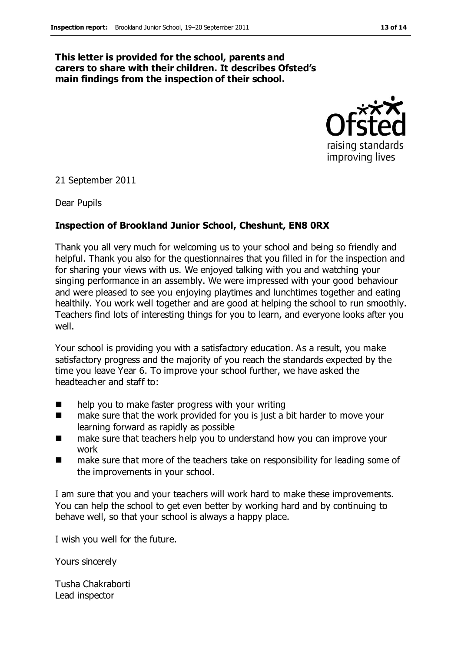#### **This letter is provided for the school, parents and carers to share with their children. It describes Ofsted's main findings from the inspection of their school.**



21 September 2011

Dear Pupils

#### **Inspection of Brookland Junior School, Cheshunt, EN8 0RX**

Thank you all very much for welcoming us to your school and being so friendly and helpful. Thank you also for the questionnaires that you filled in for the inspection and for sharing your views with us. We enjoyed talking with you and watching your singing performance in an assembly. We were impressed with your good behaviour and were pleased to see you enjoying playtimes and lunchtimes together and eating healthily. You work well together and are good at helping the school to run smoothly. Teachers find lots of interesting things for you to learn, and everyone looks after you well.

Your school is providing you with a satisfactory education. As a result, you make satisfactory progress and the majority of you reach the standards expected by the time you leave Year 6. To improve your school further, we have asked the headteacher and staff to:

- help you to make faster progress with your writing
- make sure that the work provided for you is just a bit harder to move your learning forward as rapidly as possible
- make sure that teachers help you to understand how you can improve your work
- make sure that more of the teachers take on responsibility for leading some of the improvements in your school.

I am sure that you and your teachers will work hard to make these improvements. You can help the school to get even better by working hard and by continuing to behave well, so that your school is always a happy place.

I wish you well for the future.

Yours sincerely

Tusha Chakraborti Lead inspector